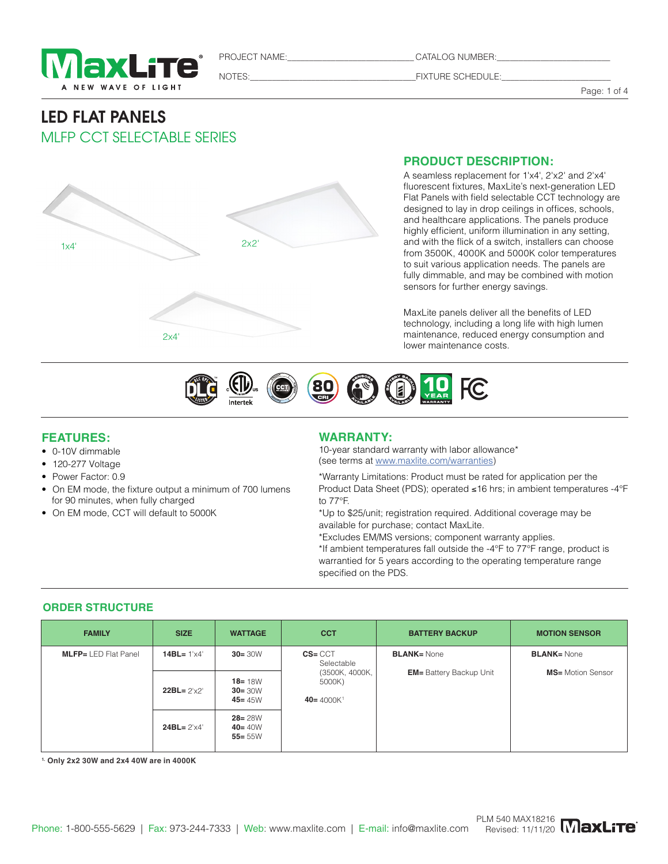

PROJECT NAME:\_\_\_\_\_\_\_\_\_\_\_\_\_\_\_\_\_\_\_\_\_\_\_\_\_\_\_\_\_ CATALOG NUMBER:\_\_\_\_\_\_\_\_\_\_\_\_\_\_\_\_\_\_\_\_\_\_\_\_\_\_

NOTES:\_\_\_\_\_\_\_\_\_\_\_\_\_\_\_\_\_\_\_\_\_\_\_\_\_\_\_\_\_\_\_\_\_\_\_\_\_\_FIXTURE SCHEDULE:\_\_\_\_\_\_\_\_\_\_\_\_\_\_\_\_\_\_\_\_\_\_\_\_\_

Page: 1 of 4

## LED FLAT PANELS MLFP CCT SELECTABLE SERIES



### **PRODUCT DESCRIPTION:**

A seamless replacement for 1'x4', 2'x2' and 2'x4' fluorescent fixtures, MaxLite's next-generation LED Flat Panels with field selectable CCT technology are designed to lay in drop ceilings in offices, schools, and healthcare applications. The panels produce highly efficient, uniform illumination in any setting, and with the flick of a switch, installers can choose from 3500K, 4000K and 5000K color temperatures to suit various application needs. The panels are fully dimmable, and may be combined with motion sensors for further energy savings.

MaxLite panels deliver all the benefits of LED technology, including a long life with high lumen maintenance, reduced energy consumption and lower maintenance costs.



### **FEATURES:**

- 0-10V dimmable
- 120-277 Voltage
- Power Factor: 0.9
- On EM mode, the fixture output a minimum of 700 lumens for 90 minutes, when fully charged
- On EM mode, CCT will default to 5000K

### **WARRANTY:**

10-year standard warranty with labor allowance\* (see terms at www.maxlite.com/warranties)

\*Warranty Limitations: Product must be rated for application per the Product Data Sheet (PDS); operated ≤16 hrs; in ambient temperatures -4°F to 77°F.

\*Up to \$25/unit; registration required. Additional coverage may be available for purchase; contact MaxLite.

\*Excludes EM/MS versions; component warranty applies.

\*If ambient temperatures fall outside the -4°F to 77°F range, product is warrantied for 5 years according to the operating temperature range specified on the PDS.

### **ORDER STRUCTURE**

| <b>FAMILY</b>               | <b>SIZE</b>           | <b>WATTAGE</b>                                               | <b>CCT</b>                                         | <b>BATTERY BACKUP</b>           | <b>MOTION SENSOR</b>      |
|-----------------------------|-----------------------|--------------------------------------------------------------|----------------------------------------------------|---------------------------------|---------------------------|
| <b>MLFP=</b> LED Flat Panel | 14BL= $1' \times 4'$  | <b>BLANK=</b> None<br>$CS = CCT$<br>$30 = 30W$<br>Selectable |                                                    |                                 | <b>BLANK= None</b>        |
|                             | $22BL = 2' \times 2'$ | $18 = 18W$<br>$30 = 30W$<br>$45 = 45W$                       | (3500K, 4000K,<br>5000K)<br>40= 4000K <sup>1</sup> | <b>EM</b> = Battery Backup Unit | <b>MS</b> = Motion Sensor |
|                             | $24BL = 2' \times 4'$ | $28 = 28W$<br>$40 = 40W$<br>$55 = 55W$                       |                                                    |                                 |                           |

**1. Only 2x2 30W and 2x4 40W are in 4000K**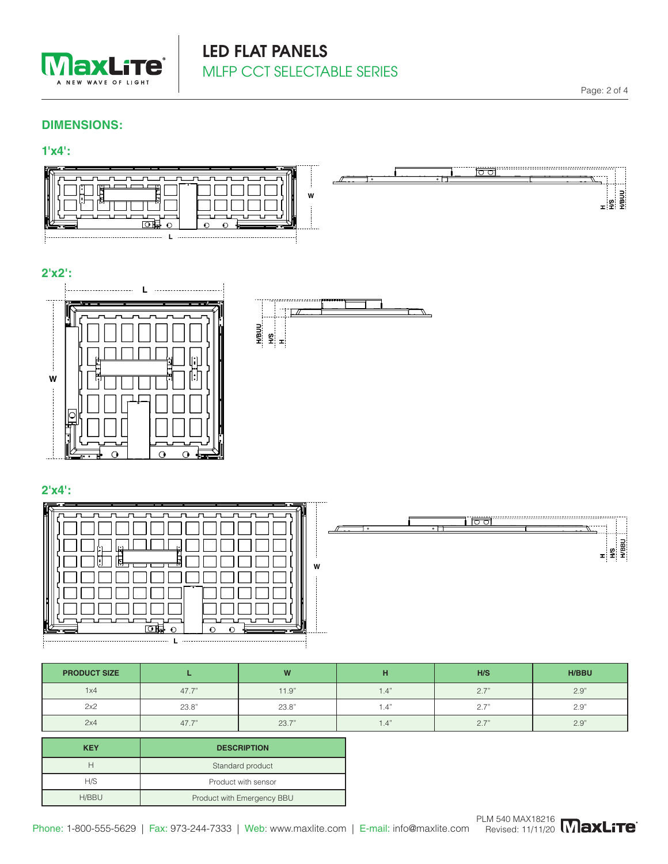

# LED FLAT PANELS MLFP CCT SELECTABLE SERIES

### **DIMENSIONS:**

## **1'x4':**



## **2'x2':**





## **2'x4':**

| $\overline{\overline{\phantom{m}}\phantom{m}}$<br>닒<br>.lm<br>w<br>٣ĩ<br>॰ |
|----------------------------------------------------------------------------|
|----------------------------------------------------------------------------|



| <b>PRODUCT SIZE</b> |       | W     |      | H/S  | <b>H/BBU</b> |
|---------------------|-------|-------|------|------|--------------|
| 1x4                 | 47.7  | 11.9" | 1.4" | 2.7" | 2.9"         |
| 2x2                 | 23.8" | 23.8" | 1.4  | 2.7" | 2.9"         |
| 2x4                 | 47.7  | 23.7" | . 4  | 2.7' | 2.9"         |
|                     |       |       |      |      |              |

| <b>KEY</b> | <b>DESCRIPTION</b>         |  |  |
|------------|----------------------------|--|--|
|            | Standard product           |  |  |
| H/S        | Product with sensor        |  |  |
| H/BBU      | Product with Emergency BBU |  |  |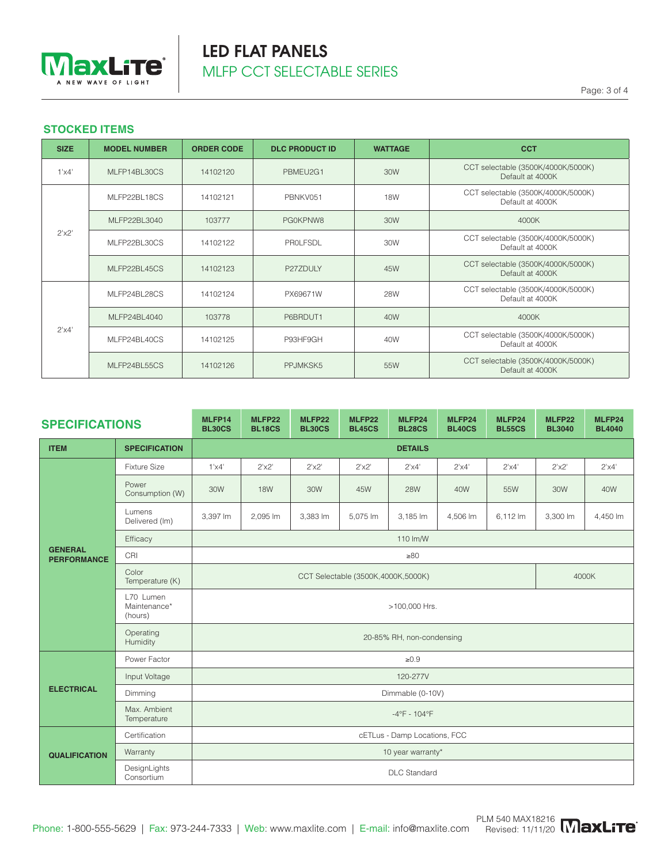

## LED FLAT PANELS MLFP CCT SELECTABLE SERIES

Page: 3 of 4

### **STOCKED ITEMS**

| <b>SIZE</b>    | <b>MODEL NUMBER</b> | <b>ORDER CODE</b> | <b>DLC PRODUCT ID</b> | <b>WATTAGE</b> | <b>CCT</b>                                             |
|----------------|---------------------|-------------------|-----------------------|----------------|--------------------------------------------------------|
| $1' \times 4'$ | MLFP14BL30CS        | 14102120          | PBMEU2G1              | 30W            | CCT selectable (3500K/4000K/5000K)<br>Default at 4000K |
|                | MLFP22BL18CS        | 14102121          | PBNKV051              | <b>18W</b>     | CCT selectable (3500K/4000K/5000K)<br>Default at 4000K |
|                | MLFP22BL3040        | 103777            | PG0KPNW8              | 30W            | 4000K                                                  |
| 2'x2'          | MLFP22BL30CS        | 14102122          | PROLFSDL              | 30W            | CCT selectable (3500K/4000K/5000K)<br>Default at 4000K |
|                | MLFP22BL45CS        | 14102123          | P27ZDULY              | 45W            | CCT selectable (3500K/4000K/5000K)<br>Default at 4000K |
| $2'$ x4'       | MLFP24BL28CS        | 14102124          | PX69671W              | <b>28W</b>     | CCT selectable (3500K/4000K/5000K)<br>Default at 4000K |
|                | MLFP24BL4040        | 103778            | P6BRDUT1              | 40W            | 4000K                                                  |
|                | MLFP24BL40CS        | 14102125          | P93HF9GH              | 40W            | CCT selectable (3500K/4000K/5000K)<br>Default at 4000K |
|                | MLFP24BL55CS        | 14102126          | PPJMKSK5              | 55W            | CCT selectable (3500K/4000K/5000K)<br>Default at 4000K |

| <b>SPECIFICATIONS</b>                |                                      | MLFP14<br><b>BL30CS</b>                       | MLFP22<br><b>BL18CS</b> | MLFP22<br><b>BL30CS</b> | MLFP22<br><b>BL45CS</b> | MLFP24<br><b>BL28CS</b> | MLFP24<br><b>BL40CS</b> | MLFP24<br><b>BL55CS</b> | MLFP22<br><b>BL3040</b> | MLFP24<br><b>BL4040</b> |  |
|--------------------------------------|--------------------------------------|-----------------------------------------------|-------------------------|-------------------------|-------------------------|-------------------------|-------------------------|-------------------------|-------------------------|-------------------------|--|
| <b>ITEM</b>                          | <b>SPECIFICATION</b>                 | <b>DETAILS</b>                                |                         |                         |                         |                         |                         |                         |                         |                         |  |
|                                      | <b>Fixture Size</b>                  | $1'$ $\times$ $4'$                            | 2'x2'                   | 2'x2'                   | 2'x2'                   | $2'$ x4'                | $2'$ x4'                | 2'x4'                   | 2'x2'                   | 2'x4'                   |  |
|                                      | Power<br>Consumption (W)             | 30W                                           | <b>18W</b>              | 30W                     | 45W                     | <b>28W</b>              | 40W                     | 55W                     | 30W                     | 40W                     |  |
|                                      | Lumens<br>Delivered (Im)             | 3,397 lm                                      | 2.095 lm                | 3,383 lm                | 5,075 lm                | 3,185 lm                | 4,506 lm                | 6,112 lm                | 3,300 lm                | 4,450 lm                |  |
|                                      | Efficacy                             | 110 lm/W                                      |                         |                         |                         |                         |                         |                         |                         |                         |  |
| <b>GENERAL</b><br><b>PERFORMANCE</b> | CRI                                  | $\geq 80$                                     |                         |                         |                         |                         |                         |                         |                         |                         |  |
|                                      | Color<br>Temperature (K)             | 4000K<br>CCT Selectable (3500K, 4000K, 5000K) |                         |                         |                         |                         |                         |                         |                         |                         |  |
|                                      | L70 Lumen<br>Maintenance*<br>(hours) | >100,000 Hrs.                                 |                         |                         |                         |                         |                         |                         |                         |                         |  |
|                                      | Operating<br>Humidity                | 20-85% RH, non-condensing                     |                         |                         |                         |                         |                         |                         |                         |                         |  |
|                                      | Power Factor                         | $\geq 0.9$                                    |                         |                         |                         |                         |                         |                         |                         |                         |  |
|                                      | Input Voltage                        | 120-277V                                      |                         |                         |                         |                         |                         |                         |                         |                         |  |
| <b>ELECTRICAL</b>                    | Dimming                              | Dimmable (0-10V)                              |                         |                         |                         |                         |                         |                         |                         |                         |  |
|                                      | Max. Ambient<br>Temperature          | $-4^{\circ}F - 104^{\circ}F$                  |                         |                         |                         |                         |                         |                         |                         |                         |  |
| <b>QUALIFICATION</b>                 | Certification                        | cETLus - Damp Locations, FCC                  |                         |                         |                         |                         |                         |                         |                         |                         |  |
|                                      | Warranty                             | 10 year warranty*                             |                         |                         |                         |                         |                         |                         |                         |                         |  |
|                                      | DesignLights<br>Consortium           | <b>DLC</b> Standard                           |                         |                         |                         |                         |                         |                         |                         |                         |  |